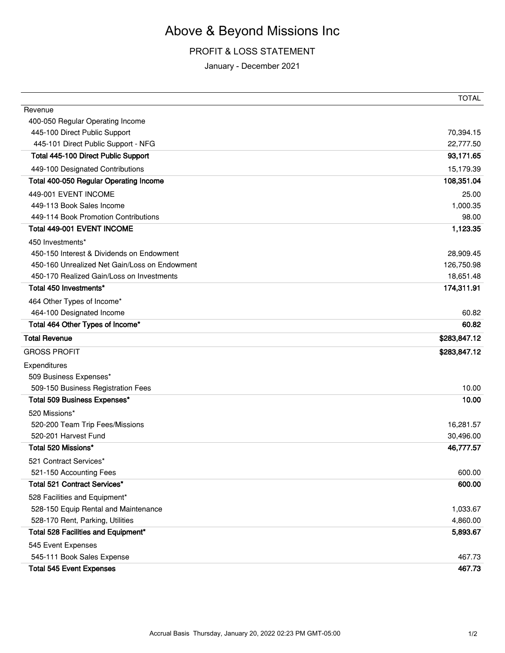## Above & Beyond Missions Inc

## PROFIT & LOSS STATEMENT

January - December 2021

|                                                  | <b>TOTAL</b>     |
|--------------------------------------------------|------------------|
| Revenue                                          |                  |
| 400-050 Regular Operating Income                 |                  |
| 445-100 Direct Public Support                    | 70,394.15        |
| 445-101 Direct Public Support - NFG              | 22,777.50        |
| Total 445-100 Direct Public Support              | 93,171.65        |
| 449-100 Designated Contributions                 | 15,179.39        |
| Total 400-050 Regular Operating Income           | 108,351.04       |
| 449-001 EVENT INCOME                             | 25.00            |
| 449-113 Book Sales Income                        | 1,000.35         |
| 449-114 Book Promotion Contributions             | 98.00            |
| Total 449-001 EVENT INCOME                       | 1,123.35         |
| 450 Investments*                                 |                  |
| 450-150 Interest & Dividends on Endowment        | 28,909.45        |
| 450-160 Unrealized Net Gain/Loss on Endowment    | 126,750.98       |
| 450-170 Realized Gain/Loss on Investments        | 18,651.48        |
| Total 450 Investments*                           | 174,311.91       |
| 464 Other Types of Income*                       |                  |
| 464-100 Designated Income                        | 60.82            |
| Total 464 Other Types of Income*                 | 60.82            |
| <b>Total Revenue</b>                             | \$283,847.12     |
| <b>GROSS PROFIT</b>                              | \$283,847.12     |
| Expenditures                                     |                  |
| 509 Business Expenses*                           |                  |
| 509-150 Business Registration Fees               | 10.00            |
| Total 509 Business Expenses*                     | 10.00            |
| 520 Missions*                                    |                  |
| 520-200 Team Trip Fees/Missions                  | 16,281.57        |
| 520-201 Harvest Fund                             | 30,496.00        |
| Total 520 Missions*                              | 46,777.57        |
| 521 Contract Services*                           |                  |
| 521-150 Accounting Fees                          | 600.00           |
| Total 521 Contract Services*                     | 600.00           |
| 528 Facilities and Equipment*                    |                  |
| 528-150 Equip Rental and Maintenance             | 1,033.67         |
| 528-170 Rent, Parking, Utilities                 | 4,860.00         |
| Total 528 Facilities and Equipment*              | 5,893.67         |
|                                                  |                  |
| 545 Event Expenses<br>545-111 Book Sales Expense |                  |
|                                                  |                  |
| <b>Total 545 Event Expenses</b>                  | 467.73<br>467.73 |